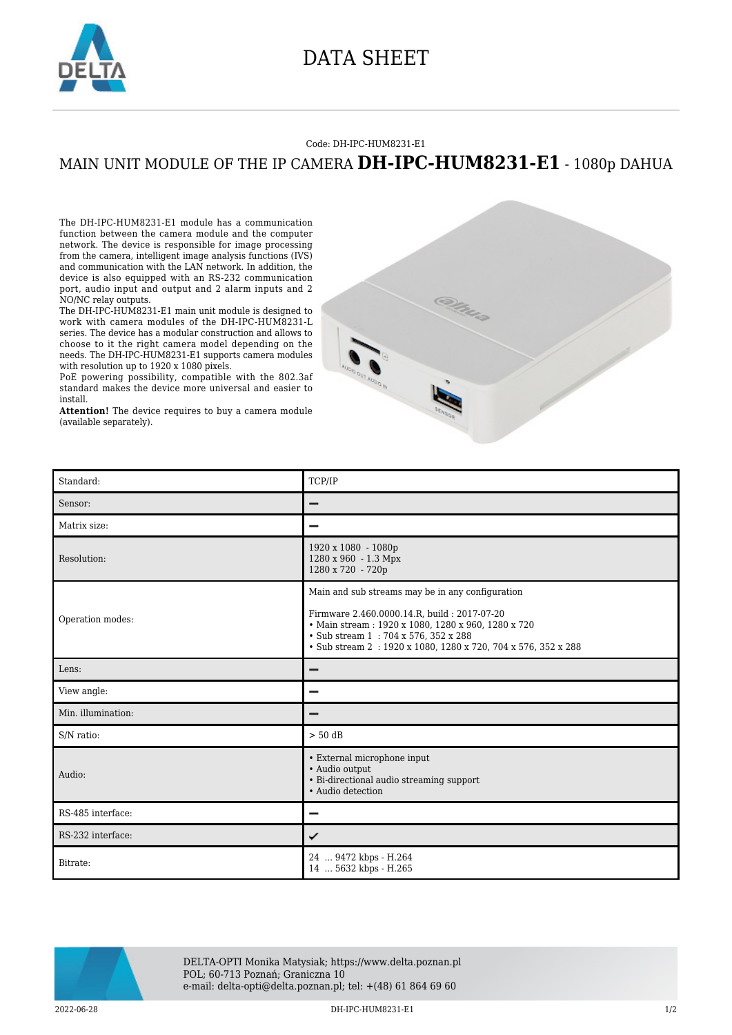

## DATA SHEET

## Code: DH-IPC-HUM8231-E1

## MAIN UNIT MODULE OF THE IP CAMERA **DH-IPC-HUM8231-E1** - 1080p DAHUA

The DH-IPC-HUM8231-E1 module has a communication function between the camera module and the computer network. The device is responsible for image processing from the camera, intelligent image analysis functions (IVS) and communication with the LAN network. In addition, the device is also equipped with an RS-232 communication port, audio input and output and 2 alarm inputs and 2 NO/NC relay outputs.

The DH-IPC-HUM8231-E1 main unit module is designed to work with camera modules of the DH-IPC-HUM8231-L series. The device has a modular construction and allows to choose to it the right camera model depending on the needs. The DH-IPC-HUM8231-E1 supports camera modules with resolution up to 1920 x 1080 pixels.

PoE powering possibility, compatible with the 802.3af standard makes the device more universal and easier to install.

**Attention!** The device requires to buy a camera module (available separately).



| Standard:          | TCP/IP                                                                                                                                                                                                                                                        |
|--------------------|---------------------------------------------------------------------------------------------------------------------------------------------------------------------------------------------------------------------------------------------------------------|
| Sensor:            | -                                                                                                                                                                                                                                                             |
| Matrix size:       |                                                                                                                                                                                                                                                               |
| Resolution:        | 1920 x 1080 - 1080p<br>1280 x 960 - 1.3 Mpx<br>1280 x 720 - 720p                                                                                                                                                                                              |
| Operation modes:   | Main and sub streams may be in any configuration<br>Firmware 2.460.0000.14.R, build: 2017-07-20<br>• Main stream: 1920 x 1080, 1280 x 960, 1280 x 720<br>• Sub stream 1:704 x 576, 352 x 288<br>• Sub stream 2: 1920 x 1080, 1280 x 720, 704 x 576, 352 x 288 |
| Lens:              |                                                                                                                                                                                                                                                               |
|                    |                                                                                                                                                                                                                                                               |
| View angle:        | $\overline{\phantom{0}}$                                                                                                                                                                                                                                      |
| Min. illumination: |                                                                                                                                                                                                                                                               |
| S/N ratio:         | $> 50$ dB                                                                                                                                                                                                                                                     |
| Audio:             | • External microphone input<br>• Audio output<br>• Bi-directional audio streaming support<br>• Audio detection                                                                                                                                                |
| RS-485 interface:  |                                                                                                                                                                                                                                                               |
| RS-232 interface:  | ✓                                                                                                                                                                                                                                                             |



DELTA-OPTI Monika Matysiak; https://www.delta.poznan.pl POL; 60-713 Poznań; Graniczna 10 e-mail: delta-opti@delta.poznan.pl; tel: +(48) 61 864 69 60